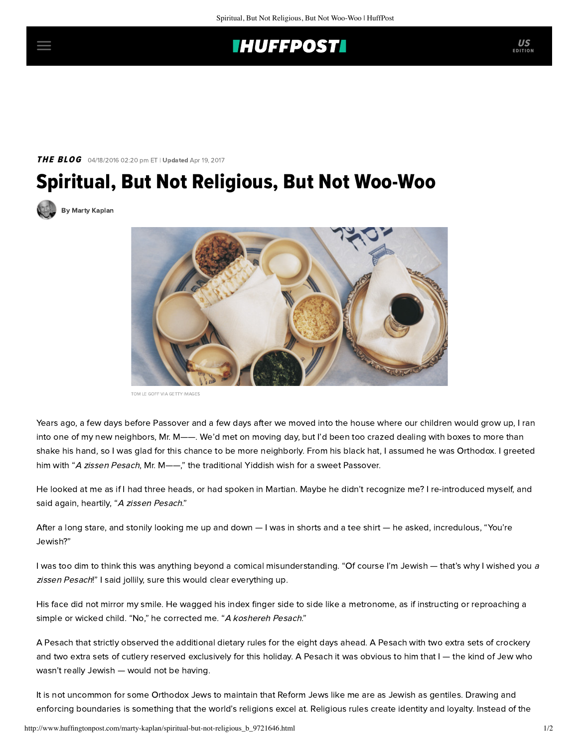## **THUFFPOST**

### **THE BLOG** 04/18/2016 02:20 pm ET | Updated Apr 19, 2017

# Spiritual, But Not Religious, But Not Woo-Woo

[By Marty Kaplan](http://www.huffingtonpost.com/author/marty-kaplan)



TOM LE GOFF VIA GETTY IMAGES

Years ago, a few days before Passover and a few days after we moved into the house where our children would grow up, I ran into one of my new neighbors, Mr. M——. We'd met on moving day, but I'd been too crazed dealing with boxes to more than shake his hand, so I was glad for this chance to be more neighborly. From his black hat, I assumed he was Orthodox. I greeted him with "A zissen Pesach, Mr. M--," the traditional Yiddish wish for a sweet Passover.

He looked at me as if I had three heads, or had spoken in Martian. Maybe he didn't recognize me? I re-introduced myself, and said again, heartily, "A zissen Pesach."

After a long stare, and stonily looking me up and down — I was in shorts and a tee shirt — he asked, incredulous, "You're Jewish?"

I was too dim to think this was anything beyond a comical misunderstanding. "Of course I'm Jewish — that's why I wished you a zissen Pesach!" I said jollily, sure this would clear everything up.

His face did not mirror my smile. He wagged his index finger side to side like a metronome, as if instructing or reproaching a simple or wicked child. "No," he corrected me. "A koshereh Pesach."

A Pesach that strictly observed the additional dietary rules for the eight days ahead. A Pesach with two extra sets of crockery and two extra sets of cutlery reserved exclusively for this holiday. A Pesach it was obvious to him that I — the kind of Jew who wasn't really Jewish — would not be having.

It is not uncommon for some Orthodox Jews to maintain that Reform Jews like me are as Jewish as gentiles. Drawing and enforcing boundaries is something that the world's religions excel at. Religious rules create identity and loyalty. Instead of the

EDITION